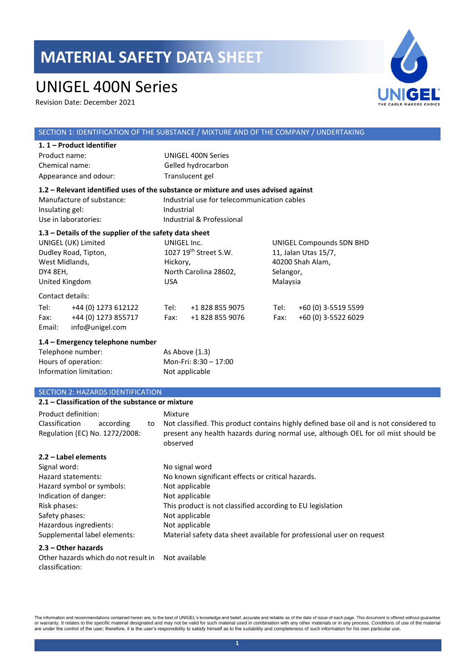### UNIGEL 400N Series

Revision Date: December 2021



#### SECTION 1: IDENTIFICATION OF THE SUBSTANCE / MIXTURE AND OF THE COMPANY / UNDERTAKING **1. 1 – Product identifier**  Product name: UNIGEL 400N Series Chemical name: Gelled hydrocarbon Appearance and odour: Translucent gel **1.2 – Relevant identified uses of the substance or mixture and uses advised against** Manufacture of substance: Industrial use for telecommunication cables Insulating gel: Industrial Use in laboratories: Industrial & Professional **1.3 – Details of the supplier of the safety data sheet** UNIGEL (UK) Limited Dudley Road, Tipton, West Midlands, DY4 8EH, United Kingdom UNIGEL Inc. 1027 19th Street S.W. Hickory, North Carolina 28602, USA UNIGEL Compounds SDN BHD 11, Jalan Utas 15/7, 40200 Shah Alam, Selangor, Malaysia Contact details: Tel: +44 (0) 1273 612122 Tel: +1 828 855 9075 Tel: +60 (0) 3-5519 5599 Fax: +44 (0) 1273 855717 Fax: +1 828 855 9076 Fax: +60 (0) 3-5522 6029 Email: info@unigel.com **1.4 – Emergency telephone number** Telephone number: As Above (1.3) Hours of operation: Mon-Fri: 8:30 – 17:00 Information limitation: Not applicable SECTION 2: HAZARDS IDENTIFICATION **2.1 – Classification of the substance or mixture** Product definition: Mixture Classification according to Regulation (EC) No. 1272/2008: Not classified. This product contains highly defined base oil and is not considered to present any health hazards during normal use, although OEL for oil mist should be observed **2.2 – Label elements**

| Signal word:                 | No signal word                                                        |
|------------------------------|-----------------------------------------------------------------------|
| Hazard statements:           | No known significant effects or critical hazards.                     |
| Hazard symbol or symbols:    | Not applicable                                                        |
| Indication of danger:        | Not applicable                                                        |
| Risk phases:                 | This product is not classified according to EU legislation            |
| Safety phases:               | Not applicable                                                        |
| Hazardous ingredients:       | Not applicable                                                        |
| Supplemental label elements: | Material safety data sheet available for professional user on request |

#### **2.3 – Other hazards**

Other hazards which do not result in Not availableclassification: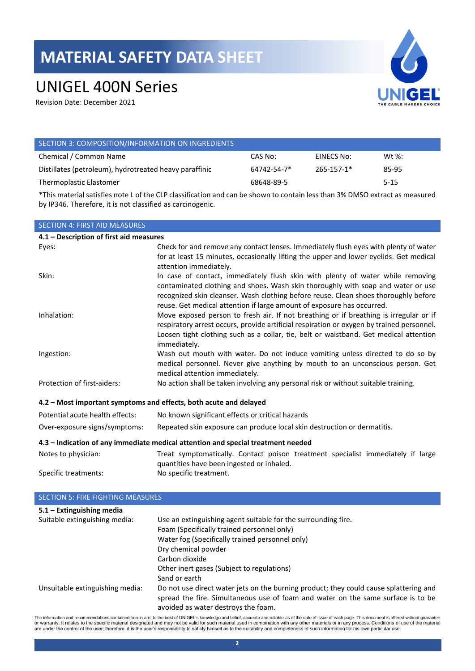# UNIGEL 400N Series

Revision Date: December 2021



| SECTION 3: COMPOSITION/INFORMATION ON INGREDIENTS      |                   |                  |          |
|--------------------------------------------------------|-------------------|------------------|----------|
| Chemical / Common Name                                 | CAS No:           | EINECS No:       | Wt %:    |
| Distillates (petroleum), hydrotreated heavy paraffinic | $64742 - 54 - 7*$ | $265 - 157 - 1*$ | 85-95    |
| Thermoplastic Elastomer                                | 68648-89-5        |                  | $5 - 15$ |
|                                                        |                   |                  |          |

\*This material satisfies note L of the CLP classification and can be shown to contain less than 3% DMSO extract as measured by IP346. Therefore, it is not classified as carcinogenic.

| <b>SECTION 4: FIRST AID MEASURES</b>                              |                                                                                                                                                                                                                                                                                                                                     |
|-------------------------------------------------------------------|-------------------------------------------------------------------------------------------------------------------------------------------------------------------------------------------------------------------------------------------------------------------------------------------------------------------------------------|
| 4.1 - Description of first aid measures                           |                                                                                                                                                                                                                                                                                                                                     |
| Eyes:                                                             | Check for and remove any contact lenses. Immediately flush eyes with plenty of water<br>for at least 15 minutes, occasionally lifting the upper and lower eyelids. Get medical<br>attention immediately.                                                                                                                            |
| Skin:                                                             | In case of contact, immediately flush skin with plenty of water while removing<br>contaminated clothing and shoes. Wash skin thoroughly with soap and water or use<br>recognized skin cleanser. Wash clothing before reuse. Clean shoes thoroughly before<br>reuse. Get medical attention if large amount of exposure has occurred. |
| Inhalation:                                                       | Move exposed person to fresh air. If not breathing or if breathing is irregular or if<br>respiratory arrest occurs, provide artificial respiration or oxygen by trained personnel.<br>Loosen tight clothing such as a collar, tie, belt or waistband. Get medical attention<br>immediately.                                         |
| Ingestion:                                                        | Wash out mouth with water. Do not induce vomiting unless directed to do so by<br>medical personnel. Never give anything by mouth to an unconscious person. Get<br>medical attention immediately.                                                                                                                                    |
| Protection of first-aiders:                                       | No action shall be taken involving any personal risk or without suitable training.                                                                                                                                                                                                                                                  |
| 4.2 - Most important symptoms and effects, both acute and delayed |                                                                                                                                                                                                                                                                                                                                     |
| Potential acute health effects:                                   | No known significant effects or critical hazards                                                                                                                                                                                                                                                                                    |
| Over-exposure signs/symptoms:                                     | Repeated skin exposure can produce local skin destruction or dermatitis.                                                                                                                                                                                                                                                            |
|                                                                   | 4.3 – Indication of any immediate medical attention and special treatment needed                                                                                                                                                                                                                                                    |
| Notes to physician:                                               | Treat symptomatically. Contact poison treatment specialist immediately if large<br>quantities have been ingested or inhaled.                                                                                                                                                                                                        |
| Specific treatments:                                              | No specific treatment.                                                                                                                                                                                                                                                                                                              |
| <b>SECTION 5: FIRE FIGHTING MEASURES</b>                          |                                                                                                                                                                                                                                                                                                                                     |
| $5.1 -$ Extinguishing media                                       |                                                                                                                                                                                                                                                                                                                                     |

| 3.1 – EXUIIKUISIIIIK IIIEUID    |                                                                                       |
|---------------------------------|---------------------------------------------------------------------------------------|
| Suitable extinguishing media:   | Use an extinguishing agent suitable for the surrounding fire.                         |
|                                 | Foam (Specifically trained personnel only)                                            |
|                                 | Water fog (Specifically trained personnel only)                                       |
|                                 | Dry chemical powder                                                                   |
|                                 | Carbon dioxide                                                                        |
|                                 | Other inert gases (Subject to regulations)                                            |
|                                 | Sand or earth                                                                         |
| Unsuitable extinguishing media: | Do not use direct water jets on the burning product; they could cause splattering and |
|                                 | spread the fire. Simultaneous use of foam and water on the same surface is to be      |
|                                 | avoided as water destroys the foam.                                                   |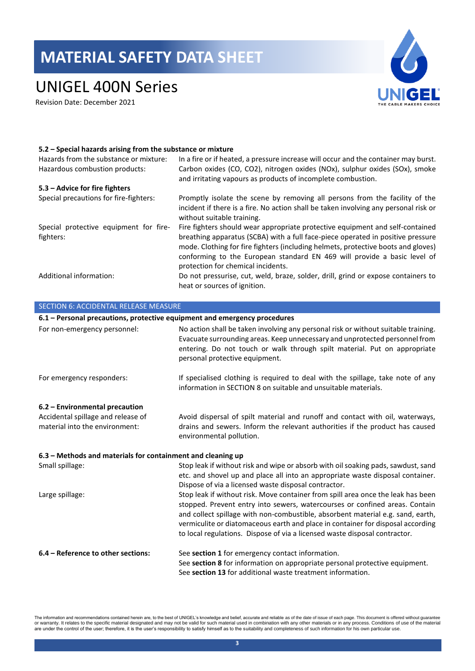### UNIGEL 400N Series

Revision Date: December 2021



#### **5.2 – Special hazards arising from the substance or mixture**

| Hazards from the substance or mixture:<br>Hazardous combustion products: | In a fire or if heated, a pressure increase will occur and the container may burst.<br>Carbon oxides (CO, CO2), nitrogen oxides (NOx), sulphur oxides (SOx), smoke<br>and irritating vapours as products of incomplete combustion.                                                                                                                                      |
|--------------------------------------------------------------------------|-------------------------------------------------------------------------------------------------------------------------------------------------------------------------------------------------------------------------------------------------------------------------------------------------------------------------------------------------------------------------|
| 5.3 – Advice for fire fighters                                           |                                                                                                                                                                                                                                                                                                                                                                         |
| Special precautions for fire-fighters:                                   | Promptly isolate the scene by removing all persons from the facility of the<br>incident if there is a fire. No action shall be taken involving any personal risk or<br>without suitable training.                                                                                                                                                                       |
| Special protective equipment for fire-<br>fighters:                      | Fire fighters should wear appropriate protective equipment and self-contained<br>breathing apparatus (SCBA) with a full face-piece operated in positive pressure<br>mode. Clothing for fire fighters (including helmets, protective boots and gloves)<br>conforming to the European standard EN 469 will provide a basic level of<br>protection for chemical incidents. |
| Additional information:                                                  | Do not pressurise, cut, weld, braze, solder, drill, grind or expose containers to<br>heat or sources of ignition.                                                                                                                                                                                                                                                       |

### SECTION 6: ACCIDENTAL RELEASE MEASURE **6.1 – Personal precautions, protective equipment and emergency procedures** For non-emergency personnel: No action shall be taken involving any personal risk or without suitable training. Evacuate surrounding areas. Keep unnecessary and unprotected personnel from entering. Do not touch or walk through spilt material. Put on appropriate personal protective equipment. For emergency responders: If specialised clothing is required to deal with the spillage, take note of any information in SECTION 8 on suitable and unsuitable materials. **6.2 – Environmental precaution** Accidental spillage and release of material into the environment: Avoid dispersal of spilt material and runoff and contact with oil, waterways, drains and sewers. Inform the relevant authorities if the product has caused environmental pollution. **6.3 – Methods and materials for containment and cleaning up** Small spillage: Stop leak if without risk and wipe or absorb with oil soaking pads, sawdust, sand etc. and shovel up and place all into an appropriate waste disposal container. Dispose of via a licensed waste disposal contractor. Large spillage: Stop leak if without risk. Move container from spill area once the leak has been stopped. Prevent entry into sewers, watercourses or confined areas. Contain and collect spillage with non-combustible, absorbent material e.g. sand, earth, vermiculite or diatomaceous earth and place in container for disposal according to local regulations. Dispose of via a licensed waste disposal contractor. **6.4 – Reference to other sections:** See **section 1** for emergency contact information. See **section 8** for information on appropriate personal protective equipment. See **section 13** for additional waste treatment information.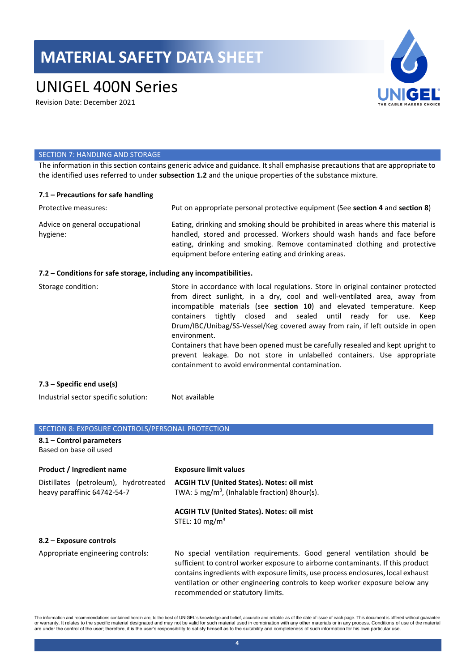### UNIGEL 400N Series

Revision Date: December 2021



#### SECTION 7: HANDLING AND STORAGE

The information in this section contains generic advice and guidance. It shall emphasise precautions that are appropriate to the identified uses referred to under **subsection 1.2** and the unique properties of the substance mixture.

#### **7.1 – Precautions for safe handling**

| Protective measures:                                                | Put on appropriate personal protective equipment (See section 4 and section 8)                                                                                                                                                                                                                                                                                                                                                                                                                                                                                                                                                   |
|---------------------------------------------------------------------|----------------------------------------------------------------------------------------------------------------------------------------------------------------------------------------------------------------------------------------------------------------------------------------------------------------------------------------------------------------------------------------------------------------------------------------------------------------------------------------------------------------------------------------------------------------------------------------------------------------------------------|
| Advice on general occupational<br>hygiene:                          | Eating, drinking and smoking should be prohibited in areas where this material is<br>handled, stored and processed. Workers should wash hands and face before<br>eating, drinking and smoking. Remove contaminated clothing and protective<br>equipment before entering eating and drinking areas.                                                                                                                                                                                                                                                                                                                               |
| 7.2 – Conditions for safe storage, including any incompatibilities. |                                                                                                                                                                                                                                                                                                                                                                                                                                                                                                                                                                                                                                  |
| Storage condition:                                                  | Store in accordance with local regulations. Store in original container protected<br>from direct sunlight, in a dry, cool and well-ventilated area, away from<br>incompatible materials (see section 10) and elevated temperature. Keep<br>containers tightly closed and sealed until ready for use.<br>Keep<br>Drum/IBC/Unibag/SS-Vessel/Keg covered away from rain, if left outside in open<br>environment.<br>Containers that have been opened must be carefully resealed and kept upright to<br>prevent leakage. Do not store in unlabelled containers. Use appropriate<br>containment to avoid environmental contamination. |
| 7.3 – Specific end use(s)                                           |                                                                                                                                                                                                                                                                                                                                                                                                                                                                                                                                                                                                                                  |

Industrial sector specific solution: Not available

### SECTION 8: EXPOSURE CONTROLS/PERSONAL PROTECTION **8.1 – Control parameters**  Based on base oil used **Product / Ingredient name Exposure limit values** Distillates (petroleum), hydrotreated heavy paraffinic 64742-54-7 **ACGIH TLV (United States). Notes: oil mist** TWA: 5 mg/m<sup>3</sup>, (Inhalable fraction) 8hour(s). **ACGIH TLV (United States). Notes: oil mist** STEL:  $10 \text{ mg/m}^3$ **8.2 – Exposure controls** Appropriate engineering controls: No special ventilation requirements. Good general ventilation should be sufficient to control worker exposure to airborne contaminants. If this product contains ingredients with exposure limits, use process enclosures, local exhaust ventilation or other engineering controls to keep worker exposure below any

The information and recommendations contained herein are, to the best of UNIGEL's knowledge and belief, accurate and reliable as of the date of issue of each page. This document is offered without guarantee or warranty. It relates to the specific material designated and may not be valid for such material used in combination with any other materials or in any process. Conditions of use of the material<br>are under the control of

recommended or statutory limits.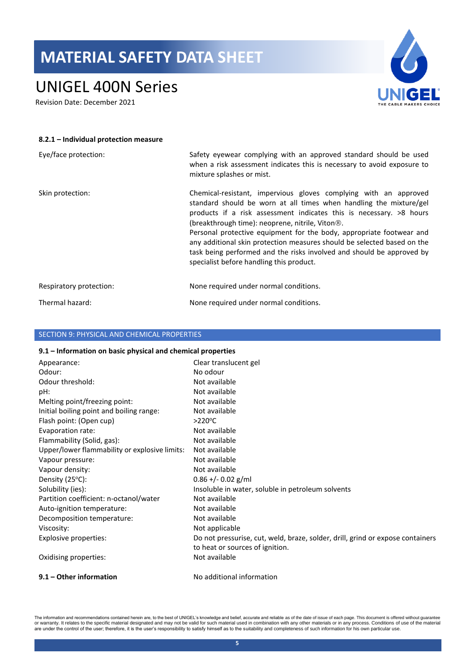## UNIGEL 400N Series

Revision Date: December 2021



| 8.2.1 - Individual protection measure |                                                                                                                                                                                                                                                                                                                                                                                                                                                                                                                                                         |
|---------------------------------------|---------------------------------------------------------------------------------------------------------------------------------------------------------------------------------------------------------------------------------------------------------------------------------------------------------------------------------------------------------------------------------------------------------------------------------------------------------------------------------------------------------------------------------------------------------|
| Eye/face protection:                  | Safety eyewear complying with an approved standard should be used<br>when a risk assessment indicates this is necessary to avoid exposure to<br>mixture splashes or mist.                                                                                                                                                                                                                                                                                                                                                                               |
| Skin protection:                      | Chemical-resistant, impervious gloves complying with an approved<br>standard should be worn at all times when handling the mixture/gel<br>products if a risk assessment indicates this is necessary. $>8$ hours<br>(breakthrough time): neoprene, nitrile, Viton <sup>®</sup> .<br>Personal protective equipment for the body, appropriate footwear and<br>any additional skin protection measures should be selected based on the<br>task being performed and the risks involved and should be approved by<br>specialist before handling this product. |
| Respiratory protection:               | None required under normal conditions.                                                                                                                                                                                                                                                                                                                                                                                                                                                                                                                  |
| Thermal hazard:                       | None required under normal conditions.                                                                                                                                                                                                                                                                                                                                                                                                                                                                                                                  |

### SECTION 9: PHYSICAL AND CHEMICAL PROPERTIES

#### **9.1 – Information on basic physical and chemical properties**

| Appearance:                                   | Clear translucent gel                                                          |
|-----------------------------------------------|--------------------------------------------------------------------------------|
| Odour:                                        | No odour                                                                       |
| Odour threshold:                              | Not available                                                                  |
| pH:                                           | Not available                                                                  |
| Melting point/freezing point:                 | Not available                                                                  |
| Initial boiling point and boiling range:      | Not available                                                                  |
| Flash point: (Open cup)                       | $>220^{\circ}$ C                                                               |
| Evaporation rate:                             | Not available                                                                  |
| Flammability (Solid, gas):                    | Not available                                                                  |
| Upper/lower flammability or explosive limits: | Not available                                                                  |
| Vapour pressure:                              | Not available                                                                  |
| Vapour density:                               | Not available                                                                  |
| Density $(25^{\circ}C)$ :                     | $0.86 + - 0.02$ g/ml                                                           |
| Solubility (ies):                             | Insoluble in water, soluble in petroleum solvents                              |
| Partition coefficient: n-octanol/water        | Not available                                                                  |
| Auto-ignition temperature:                    | Not available                                                                  |
| Decomposition temperature:                    | Not available                                                                  |
| Viscosity:                                    | Not applicable                                                                 |
| Explosive properties:                         | Do not pressurise, cut, weld, braze, solder, drill, grind or expose containers |
|                                               | to heat or sources of ignition.                                                |
| Oxidising properties:                         | Not available                                                                  |
| 9.1 – Other information                       | No additional information                                                      |

The information and recommendations contained herein are, to the best of UNIGEL's knowledge and belief, accurate and reliable as of the date of issue of each page. This document is offered without guarantee<br>or warranty. It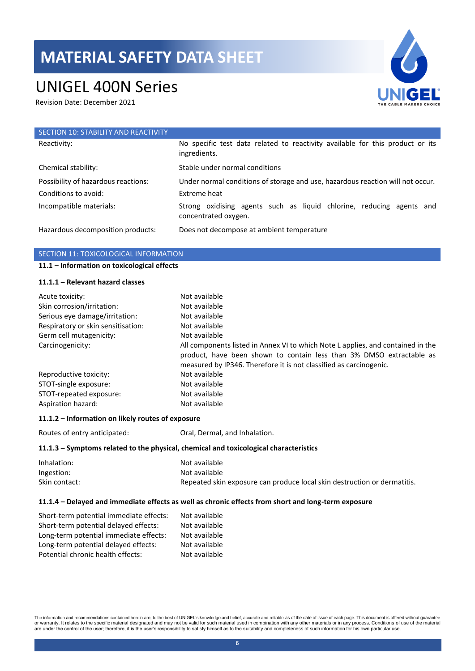## UNIGEL 400N Series

Revision Date: December 2021



| SECTION 10: STABILITY AND REACTIVITY |                                                                                               |
|--------------------------------------|-----------------------------------------------------------------------------------------------|
| Reactivity:                          | No specific test data related to reactivity available for this product or its<br>ingredients. |
| Chemical stability:                  | Stable under normal conditions                                                                |
| Possibility of hazardous reactions:  | Under normal conditions of storage and use, hazardous reaction will not occur.                |
| Conditions to avoid:                 | Extreme heat                                                                                  |
| Incompatible materials:              | Strong oxidising agents such as liquid chlorine, reducing agents and<br>concentrated oxygen.  |
| Hazardous decomposition products:    | Does not decompose at ambient temperature                                                     |

### SECTION 11: TOXICOLOGICAL INFORMATION

### **11.1 – Information on toxicological effects**

#### **11.1.1 – Relevant hazard classes**

| Acute toxicity:                    | Not available                                                                                                                                                                                                                 |
|------------------------------------|-------------------------------------------------------------------------------------------------------------------------------------------------------------------------------------------------------------------------------|
| Skin corrosion/irritation:         | Not available                                                                                                                                                                                                                 |
| Serious eye damage/irritation:     | Not available                                                                                                                                                                                                                 |
| Respiratory or skin sensitisation: | Not available                                                                                                                                                                                                                 |
| Germ cell mutagenicity:            | Not available                                                                                                                                                                                                                 |
| Carcinogenicity:                   | All components listed in Annex VI to which Note L applies, and contained in the<br>product, have been shown to contain less than 3% DMSO extractable as<br>measured by IP346. Therefore it is not classified as carcinogenic. |
| Reproductive toxicity:             | Not available                                                                                                                                                                                                                 |
| STOT-single exposure:              | Not available                                                                                                                                                                                                                 |
| STOT-repeated exposure:            | Not available                                                                                                                                                                                                                 |
| Aspiration hazard:                 | Not available                                                                                                                                                                                                                 |

#### **11.1.2 – Information on likely routes of exposure**

Routes of entry anticipated: Oral, Dermal, and Inhalation.

#### **11.1.3 – Symptoms related to the physical, chemical and toxicological characteristics**

| Inhalation:   | Not available                                                            |
|---------------|--------------------------------------------------------------------------|
| Ingestion:    | Not available                                                            |
| Skin contact: | Repeated skin exposure can produce local skin destruction or dermatitis. |

#### **11.1.4 – Delayed and immediate effects as well as chronic effects from short and long-term exposure**

| Short-term potential immediate effects: | Not available |
|-----------------------------------------|---------------|
| Short-term potential delayed effects:   | Not available |
| Long-term potential immediate effects:  | Not available |
| Long-term potential delayed effects:    | Not available |
| Potential chronic health effects:       | Not available |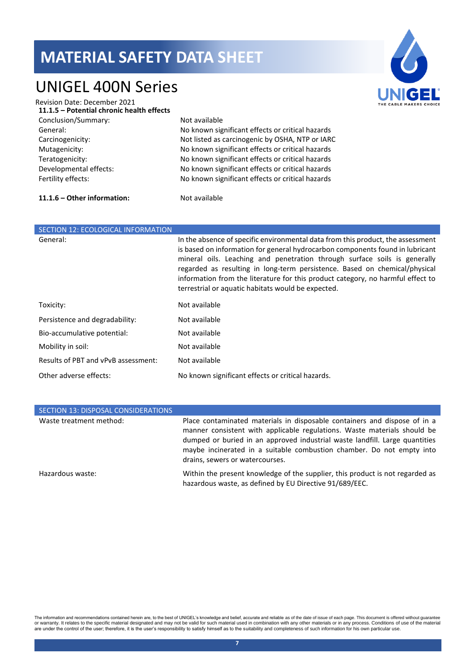### UNIGEL 400N Series



| <b>Revision Date: December 2021</b>       |                                                  |
|-------------------------------------------|--------------------------------------------------|
| 11.1.5 - Potential chronic health effects |                                                  |
| Conclusion/Summary:                       | Not available                                    |
| General:                                  | No known significant effects or critical hazards |
| Carcinogenicity:                          | Not listed as carcinogenic by OSHA, NTP or IARC  |
| Mutagenicity:                             | No known significant effects or critical hazards |
| Teratogenicity:                           | No known significant effects or critical hazards |
| Developmental effects:                    | No known significant effects or critical hazards |
| Fertility effects:                        | No known significant effects or critical hazards |
|                                           |                                                  |
|                                           |                                                  |

### **11.1.6 – Other information:** Not available

| SECTION 12: ECOLOGICAL INFORMATION  |                                                                                                                                                                                                                                                                                                                                                                                                                                                                      |
|-------------------------------------|----------------------------------------------------------------------------------------------------------------------------------------------------------------------------------------------------------------------------------------------------------------------------------------------------------------------------------------------------------------------------------------------------------------------------------------------------------------------|
| General:                            | In the absence of specific environmental data from this product, the assessment<br>is based on information for general hydrocarbon components found in lubricant<br>mineral oils. Leaching and penetration through surface soils is generally<br>regarded as resulting in long-term persistence. Based on chemical/physical<br>information from the literature for this product category, no harmful effect to<br>terrestrial or aquatic habitats would be expected. |
| Toxicity:                           | Not available                                                                                                                                                                                                                                                                                                                                                                                                                                                        |
| Persistence and degradability:      | Not available                                                                                                                                                                                                                                                                                                                                                                                                                                                        |
| Bio-accumulative potential:         | Not available                                                                                                                                                                                                                                                                                                                                                                                                                                                        |
| Mobility in soil:                   | Not available                                                                                                                                                                                                                                                                                                                                                                                                                                                        |
| Results of PBT and vPvB assessment: | Not available                                                                                                                                                                                                                                                                                                                                                                                                                                                        |
| Other adverse effects:              | No known significant effects or critical hazards.                                                                                                                                                                                                                                                                                                                                                                                                                    |

| SECTION 13: DISPOSAL CONSIDERATIONS |                                                                                                                                                                                                                                                                                                                                                  |
|-------------------------------------|--------------------------------------------------------------------------------------------------------------------------------------------------------------------------------------------------------------------------------------------------------------------------------------------------------------------------------------------------|
| Waste treatment method:             | Place contaminated materials in disposable containers and dispose of in a<br>manner consistent with applicable regulations. Waste materials should be<br>dumped or buried in an approved industrial waste landfill. Large quantities<br>maybe incinerated in a suitable combustion chamber. Do not empty into<br>drains, sewers or watercourses. |
| Hazardous waste:                    | Within the present knowledge of the supplier, this product is not regarded as<br>hazardous waste, as defined by EU Directive 91/689/EEC.                                                                                                                                                                                                         |

The information and recommendations contained herein are, to the best of UNIGEL's knowledge and belief, accurate and reliable as of the date of issue of each page. This document is offered without guarantee<br>or warranty. It